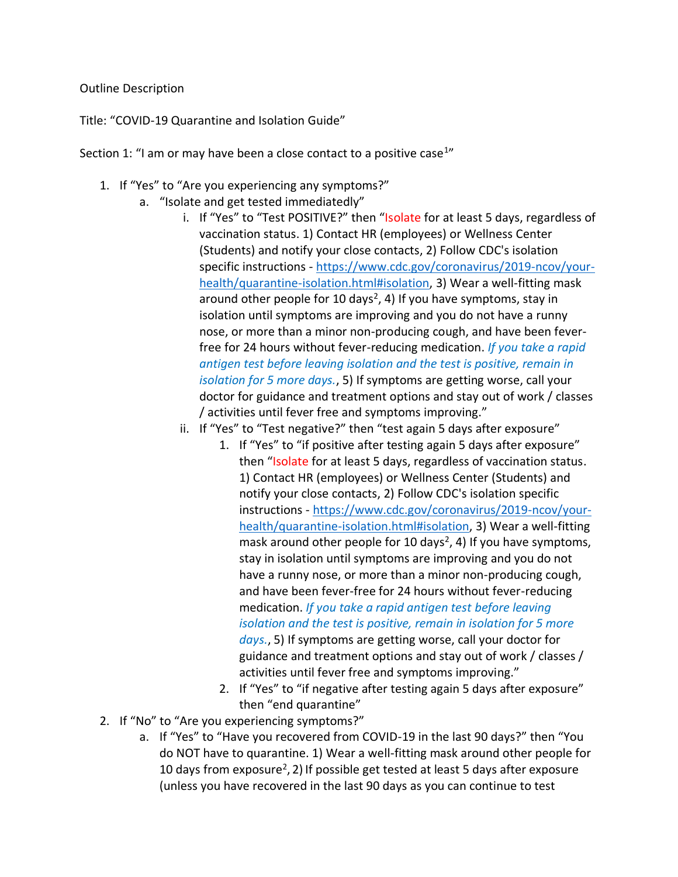## Outline Description

Title: "COVID-19 Quarantine and Isolation Guide"

Section 1: "I am or may have been a close contact to a positive case<sup>1</sup>"

- 1. If "Yes" to "Are you experiencing any symptoms?"
	- a. "Isolate and get tested immediatedly"
		- i. If "Yes" to "Test POSITIVE?" then "Isolate for at least 5 days, regardless of vaccination status. 1) Contact HR (employees) or Wellness Center (Students) and notify your close contacts, 2) Follow CDC's isolation specific instructions - [https://www.cdc.gov/coronavirus/2019-ncov/your](https://www.cdc.gov/coronavirus/2019-ncov/your-health/quarantine-isolation.html#isolation)[health/quarantine-isolation.html#isolation,](https://www.cdc.gov/coronavirus/2019-ncov/your-health/quarantine-isolation.html#isolation) 3) Wear a well-fitting mask around other people for 10 days<sup>2</sup>, 4) If you have symptoms, stay in isolation until symptoms are improving and you do not have a runny nose, or more than a minor non-producing cough, and have been feverfree for 24 hours without fever-reducing medication. *If you take a rapid antigen test before leaving isolation and the test is positive, remain in isolation for 5 more days.*, 5) If symptoms are getting worse, call your doctor for guidance and treatment options and stay out of work / classes / activities until fever free and symptoms improving."
		- ii. If "Yes" to "Test negative?" then "test again 5 days after exposure"
			- 1. If "Yes" to "if positive after testing again 5 days after exposure" then "Isolate for at least 5 days, regardless of vaccination status. 1) Contact HR (employees) or Wellness Center (Students) and notify your close contacts, 2) Follow CDC's isolation specific instructions - [https://www.cdc.gov/coronavirus/2019-ncov/your](https://www.cdc.gov/coronavirus/2019-ncov/your-health/quarantine-isolation.html#isolation)[health/quarantine-isolation.html#isolation,](https://www.cdc.gov/coronavirus/2019-ncov/your-health/quarantine-isolation.html#isolation) 3) Wear a well-fitting mask around other people for 10 days<sup>2</sup>, 4) If you have symptoms, stay in isolation until symptoms are improving and you do not have a runny nose, or more than a minor non-producing cough, and have been fever-free for 24 hours without fever-reducing medication. *If you take a rapid antigen test before leaving isolation and the test is positive, remain in isolation for 5 more days.*, 5) If symptoms are getting worse, call your doctor for guidance and treatment options and stay out of work / classes / activities until fever free and symptoms improving."
			- 2. If "Yes" to "if negative after testing again 5 days after exposure" then "end quarantine"
- 2. If "No" to "Are you experiencing symptoms?"
	- a. If "Yes" to "Have you recovered from COVID-19 in the last 90 days?" then "You do NOT have to quarantine. 1) Wear a well-fitting mask around other people for 10 days from exposure<sup>2</sup>, 2) If possible get tested at least 5 days after exposure (unless you have recovered in the last 90 days as you can continue to test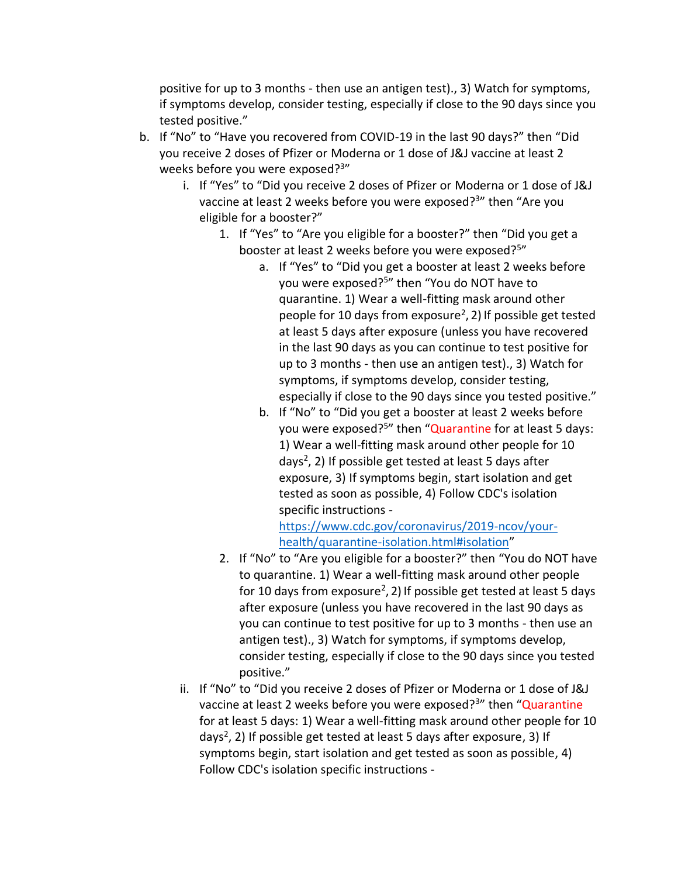positive for up to 3 months - then use an antigen test)., 3) Watch for symptoms, if symptoms develop, consider testing, especially if close to the 90 days since you tested positive."

- b. If "No" to "Have you recovered from COVID-19 in the last 90 days?" then "Did you receive 2 doses of Pfizer or Moderna or 1 dose of J&J vaccine at least 2 weeks before you were exposed?<sup>3</sup>"
	- i. If "Yes" to "Did you receive 2 doses of Pfizer or Moderna or 1 dose of J&J vaccine at least 2 weeks before you were exposed?<sup>3</sup>" then "Are you eligible for a booster?"
		- 1. If "Yes" to "Are you eligible for a booster?" then "Did you get a booster at least 2 weeks before you were exposed?<sup>5</sup>"
			- a. If "Yes" to "Did you get a booster at least 2 weeks before you were exposed?<sup>5</sup>" then "You do NOT have to quarantine. 1) Wear a well-fitting mask around other people for 10 days from exposure<sup>2</sup>, 2) If possible get tested at least 5 days after exposure (unless you have recovered in the last 90 days as you can continue to test positive for up to 3 months - then use an antigen test)., 3) Watch for symptoms, if symptoms develop, consider testing, especially if close to the 90 days since you tested positive."
			- b. If "No" to "Did you get a booster at least 2 weeks before you were exposed?<sup>5</sup>" then "Quarantine for at least 5 days: 1) Wear a well-fitting mask around other people for 10 days<sup>2</sup>, 2) If possible get tested at least 5 days after exposure, 3) If symptoms begin, start isolation and get tested as soon as possible, 4) Follow CDC's isolation specific instructions -

[https://www.cdc.gov/coronavirus/2019-ncov/your](https://www.cdc.gov/coronavirus/2019-ncov/your-health/quarantine-isolation.html#isolation)[health/quarantine-isolation.html#isolation](https://www.cdc.gov/coronavirus/2019-ncov/your-health/quarantine-isolation.html#isolation)"

- 2. If "No" to "Are you eligible for a booster?" then "You do NOT have to quarantine. 1) Wear a well-fitting mask around other people for 10 days from exposure<sup>2</sup>, 2) If possible get tested at least 5 days after exposure (unless you have recovered in the last 90 days as you can continue to test positive for up to 3 months - then use an antigen test)., 3) Watch for symptoms, if symptoms develop, consider testing, especially if close to the 90 days since you tested positive."
- ii. If "No" to "Did you receive 2 doses of Pfizer or Moderna or 1 dose of J&J vaccine at least 2 weeks before you were exposed?<sup>3</sup>" then "Quarantine for at least 5 days: 1) Wear a well-fitting mask around other people for 10 days<sup>2</sup>, 2) If possible get tested at least 5 days after exposure, 3) If symptoms begin, start isolation and get tested as soon as possible, 4) Follow CDC's isolation specific instructions -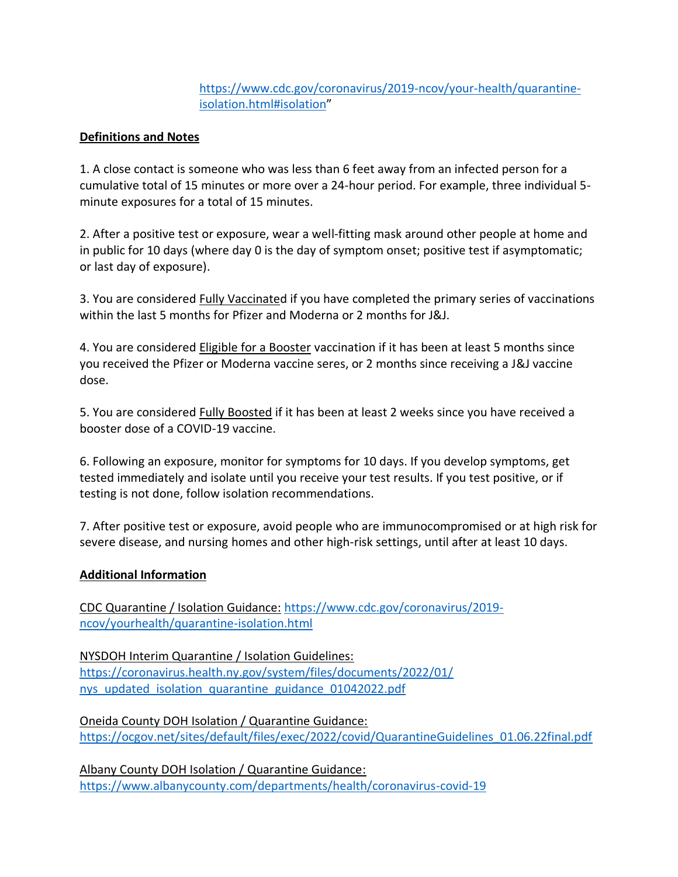## [https://www.cdc.gov/coronavirus/2019-ncov/your-health/quarantine](https://www.cdc.gov/coronavirus/2019-ncov/your-health/quarantine-isolation.html#isolation)[isolation.html#isolation](https://www.cdc.gov/coronavirus/2019-ncov/your-health/quarantine-isolation.html#isolation)"

## **Definitions and Notes**

1. A close contact is someone who was less than 6 feet away from an infected person for a cumulative total of 15 minutes or more over a 24-hour period. For example, three individual 5 minute exposures for a total of 15 minutes.

2. After a positive test or exposure, wear a well-fitting mask around other people at home and in public for 10 days (where day 0 is the day of symptom onset; positive test if asymptomatic; or last day of exposure).

3. You are considered Fully Vaccinated if you have completed the primary series of vaccinations within the last 5 months for Pfizer and Moderna or 2 months for J&J.

4. You are considered Eligible for a Booster vaccination if it has been at least 5 months since you received the Pfizer or Moderna vaccine seres, or 2 months since receiving a J&J vaccine dose.

5. You are considered Fully Boosted if it has been at least 2 weeks since you have received a booster dose of a COVID-19 vaccine.

6. Following an exposure, monitor for symptoms for 10 days. If you develop symptoms, get tested immediately and isolate until you receive your test results. If you test positive, or if testing is not done, follow isolation recommendations.

7. After positive test or exposure, avoid people who are immunocompromised or at high risk for severe disease, and nursing homes and other high-risk settings, until after at least 10 days.

## **Additional Information**

CDC Quarantine / Isolation Guidance: [https://www.cdc.gov/coronavirus/2019](https://www.cdc.gov/coronavirus/2019-ncov/yourhealth/quarantine-isolation.html) [ncov/yourhealth/quarantine-isolation.html](https://www.cdc.gov/coronavirus/2019-ncov/yourhealth/quarantine-isolation.html)

NYSDOH Interim Quarantine / Isolation Guidelines: [https://coronavirus.health.ny.gov/system/files/documents/2022/01/](https://coronavirus.health.ny.gov/system/files/documents/2022/01/nys_updated_isolation_quarantine_guidance_01042022.pdf) [nys\\_updated\\_isolation\\_quarantine\\_guidance\\_01042022.pdf](https://coronavirus.health.ny.gov/system/files/documents/2022/01/nys_updated_isolation_quarantine_guidance_01042022.pdf)

Oneida County DOH Isolation / Quarantine Guidance: [https://ocgov.net/sites/default/files/exec/2022/covid/QuarantineGuidelines\\_01.06.22final.pdf](https://ocgov.net/sites/default/files/exec/2022/covid/QuarantineGuidelines_01.06.22final.pdf)

Albany County DOH Isolation / Quarantine Guidance: <https://www.albanycounty.com/departments/health/coronavirus-covid-19>